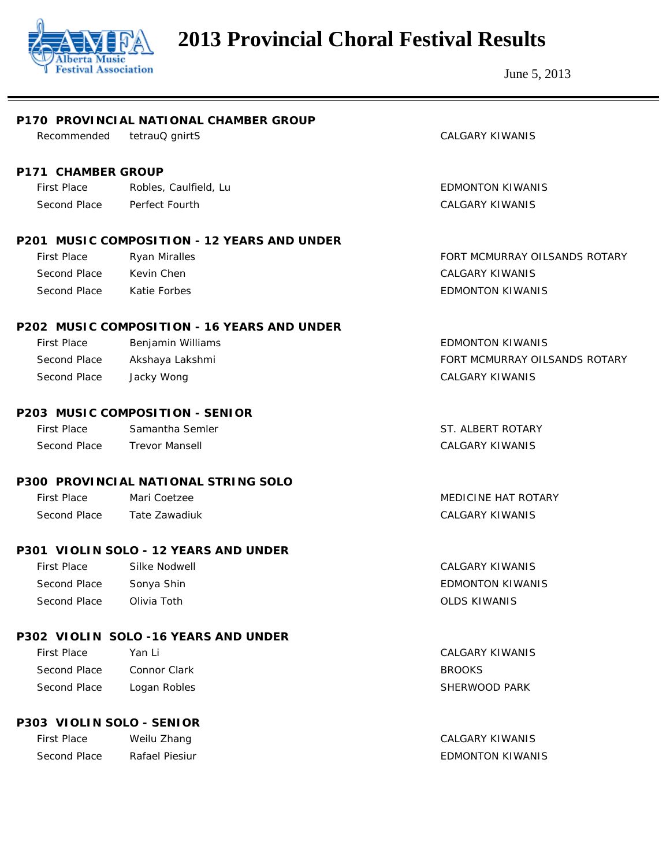

| P170 PROVINCIAL NATIONAL CHAMBER GROUP |                                             |                               |  |
|----------------------------------------|---------------------------------------------|-------------------------------|--|
| Recommended                            | tetrauQ gnirtS                              | <b>CALGARY KIWANIS</b>        |  |
|                                        |                                             |                               |  |
| <b>P171 CHAMBER GROUP</b>              |                                             |                               |  |
| <b>First Place</b>                     | Robles, Caulfield, Lu                       | <b>EDMONTON KIWANIS</b>       |  |
| Second Place                           | Perfect Fourth                              | <b>CALGARY KIWANIS</b>        |  |
|                                        | P201 MUSIC COMPOSITION - 12 YEARS AND UNDER |                               |  |
| <b>First Place</b>                     | Ryan Miralles                               | FORT MCMURRAY OILSANDS ROTARY |  |
| Second Place                           | Kevin Chen                                  | <b>CALGARY KIWANIS</b>        |  |
| Second Place                           | Katie Forbes                                | <b>EDMONTON KIWANIS</b>       |  |
|                                        | P202 MUSIC COMPOSITION - 16 YEARS AND UNDER |                               |  |
| <b>First Place</b>                     | Benjamin Williams                           | <b>EDMONTON KIWANIS</b>       |  |
| Second Place                           | Akshaya Lakshmi                             | FORT MCMURRAY OILSANDS ROTARY |  |
| Second Place                           | Jacky Wong                                  | <b>CALGARY KIWANIS</b>        |  |
|                                        | P203 MUSIC COMPOSITION - SENIOR             |                               |  |
| <b>First Place</b>                     | Samantha Semler                             | ST. ALBERT ROTARY             |  |
| Second Place                           | <b>Trevor Mansell</b>                       | <b>CALGARY KIWANIS</b>        |  |
|                                        | P300 PROVINCIAL NATIONAL STRING SOLO        |                               |  |
| <b>First Place</b>                     | Mari Coetzee                                | <b>MEDICINE HAT ROTARY</b>    |  |
| Second Place                           | Tate Zawadiuk                               | <b>CALGARY KIWANIS</b>        |  |
|                                        | P301 VIOLIN SOLO - 12 YEARS AND UNDER       |                               |  |
| <b>First Place</b>                     | Silke Nodwell                               | <b>CALGARY KIWANIS</b>        |  |
| Second Place                           | Sonya Shin                                  | <b>EDMONTON KIWANIS</b>       |  |
| Second Place                           | Olivia Toth                                 | <b>OLDS KIWANIS</b>           |  |
|                                        | P302 VIOLIN SOLO -16 YEARS AND UNDER        |                               |  |
| <b>First Place</b>                     | Yan Li                                      | <b>CALGARY KIWANIS</b>        |  |
| Second Place                           | Connor Clark                                | <b>BROOKS</b>                 |  |
| Second Place                           | Logan Robles                                | SHERWOOD PARK                 |  |
| P303 VIOLIN SOLO - SENIOR              |                                             |                               |  |
| <b>First Place</b>                     | Weilu Zhang                                 | <b>CALGARY KIWANIS</b>        |  |
| Second Place                           | Rafael Piesiur                              | <b>EDMONTON KIWANIS</b>       |  |
|                                        |                                             |                               |  |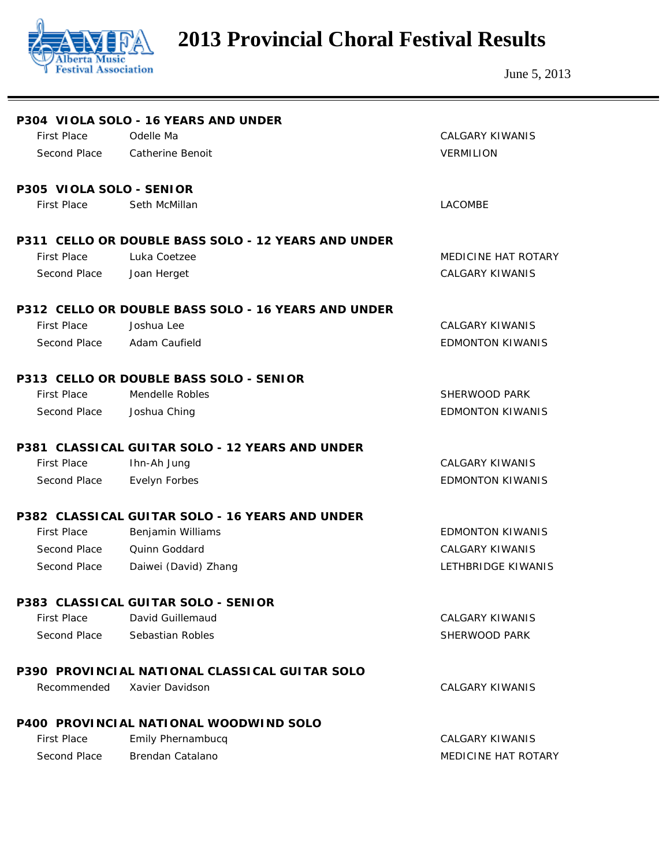

|                          | P304 VIOLA SOLO - 16 YEARS AND UNDER                  |                            |
|--------------------------|-------------------------------------------------------|----------------------------|
| <b>First Place</b>       | Odelle Ma                                             | <b>CALGARY KIWANIS</b>     |
| Second Place             | <b>Catherine Benoit</b>                               | <b>VERMILION</b>           |
| P305 VIOLA SOLO - SENIOR |                                                       |                            |
| <b>First Place</b>       | Seth McMillan                                         | <b>LACOMBE</b>             |
|                          | P311 CELLO OR DOUBLE BASS SOLO - 12 YEARS AND UNDER   |                            |
| <b>First Place</b>       | Luka Coetzee                                          | <b>MEDICINE HAT ROTARY</b> |
| Second Place             | Joan Herget                                           | <b>CALGARY KIWANIS</b>     |
|                          | P312 CELLO OR DOUBLE BASS SOLO - 16 YEARS AND UNDER   |                            |
| <b>First Place</b>       | Joshua Lee                                            | <b>CALGARY KIWANIS</b>     |
| Second Place             | Adam Caufield                                         | <b>EDMONTON KIWANIS</b>    |
|                          | P313 CELLO OR DOUBLE BASS SOLO - SENIOR               |                            |
| <b>First Place</b>       | Mendelle Robles                                       | SHERWOOD PARK              |
| Second Place             | Joshua Ching                                          | <b>EDMONTON KIWANIS</b>    |
|                          | P381 CLASSICAL GUITAR SOLO - 12 YEARS AND UNDER       |                            |
| <b>First Place</b>       | Ihn-Ah Jung                                           | <b>CALGARY KIWANIS</b>     |
| Second Place             | Evelyn Forbes                                         | <b>EDMONTON KIWANIS</b>    |
|                          | P382 CLASSICAL GUITAR SOLO - 16 YEARS AND UNDER       |                            |
| <b>First Place</b>       | Benjamin Williams                                     | <b>EDMONTON KIWANIS</b>    |
| Second Place             | <b>Ouinn Goddard</b>                                  | <b>CALGARY KIWANIS</b>     |
| Second Place             | Daiwei (David) Zhang                                  | LETHBRIDGE KIWANIS         |
|                          | P383 CLASSICAL GUITAR SOLO - SENIOR                   |                            |
| <b>First Place</b>       | David Guillemaud                                      | CALGARY KIWANIS            |
| Second Place             | Sebastian Robles                                      | SHERWOOD PARK              |
|                          | <b>P390 PROVINCIAL NATIONAL CLASSICAL GUITAR SOLO</b> |                            |
| Recommended              | Xavier Davidson                                       | <b>CALGARY KIWANIS</b>     |
|                          | <b>P400 PROVINCIAL NATIONAL WOODWIND SOLO</b>         |                            |
| <b>First Place</b>       | Emily Phernambucq                                     | <b>CALGARY KIWANIS</b>     |
| Second Place             | Brendan Catalano                                      | MEDICINE HAT ROTARY        |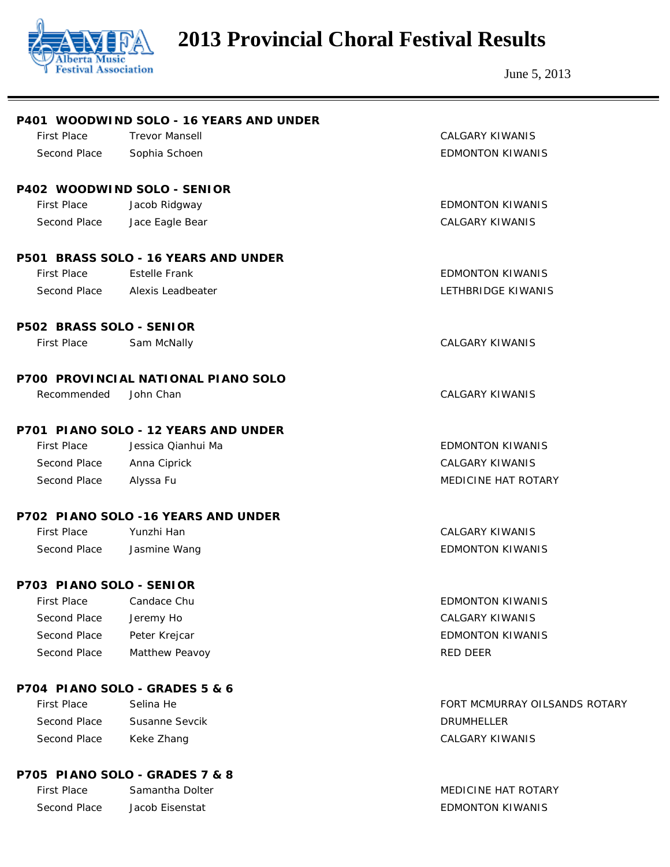

|                          | P401 WOODWIND SOLO - 16 YEARS AND UNDER |                               |
|--------------------------|-----------------------------------------|-------------------------------|
| <b>First Place</b>       | <b>Trevor Mansell</b>                   | <b>CALGARY KIWANIS</b>        |
| Second Place             | Sophia Schoen                           | <b>EDMONTON KIWANIS</b>       |
|                          | P402 WOODWIND SOLO - SENIOR             |                               |
| <b>First Place</b>       | Jacob Ridgway                           | <b>EDMONTON KIWANIS</b>       |
| Second Place             | Jace Eagle Bear                         | <b>CALGARY KIWANIS</b>        |
|                          | P501 BRASS SOLO - 16 YEARS AND UNDER    |                               |
| <b>First Place</b>       | <b>Estelle Frank</b>                    | <b>EDMONTON KIWANIS</b>       |
| Second Place             | Alexis Leadbeater                       | LETHBRIDGE KIWANIS            |
| P502 BRASS SOLO - SENIOR |                                         |                               |
| <b>First Place</b>       | Sam McNally                             | <b>CALGARY KIWANIS</b>        |
|                          | P700 PROVINCIAL NATIONAL PIANO SOLO     |                               |
| Recommended              | John Chan                               | <b>CALGARY KIWANIS</b>        |
|                          | P701 PIANO SOLO - 12 YEARS AND UNDER    |                               |
| <b>First Place</b>       | Jessica Qianhui Ma                      | <b>EDMONTON KIWANIS</b>       |
| Second Place             | Anna Ciprick                            | <b>CALGARY KIWANIS</b>        |
| Second Place             | Alyssa Fu                               | MEDICINE HAT ROTARY           |
|                          | P702 PIANO SOLO -16 YEARS AND UNDER     |                               |
| <b>First Place</b>       | Yunzhi Han                              | <b>CALGARY KIWANIS</b>        |
| Second Place             | Jasmine Wang                            | <b>EDMONTON KIWANIS</b>       |
| P703 PIANO SOLO - SENIOR |                                         |                               |
| First Place Candace Chu  |                                         | <b>EDMONTON KIWANIS</b>       |
| Second Place             | Jeremy Ho                               | <b>CALGARY KIWANIS</b>        |
| Second Place             | Peter Krejcar                           | <b>EDMONTON KIWANIS</b>       |
| Second Place             | Matthew Peavoy                          | <b>RED DEER</b>               |
|                          | P704 PIANO SOLO - GRADES 5 & 6          |                               |
| <b>First Place</b>       | Selina He                               | FORT MCMURRAY OILSANDS ROTARY |
| Second Place             | Susanne Sevcik                          | <b>DRUMHELLER</b>             |
| Second Place             | Keke Zhang                              | <b>CALGARY KIWANIS</b>        |
|                          | P705 PIANO SOLO - GRADES 7 & 8          |                               |
| <b>First Place</b>       | Samantha Dolter                         | <b>MEDICINE HAT ROTARY</b>    |
| Second Place             | Jacob Eisenstat                         | <b>EDMONTON KIWANIS</b>       |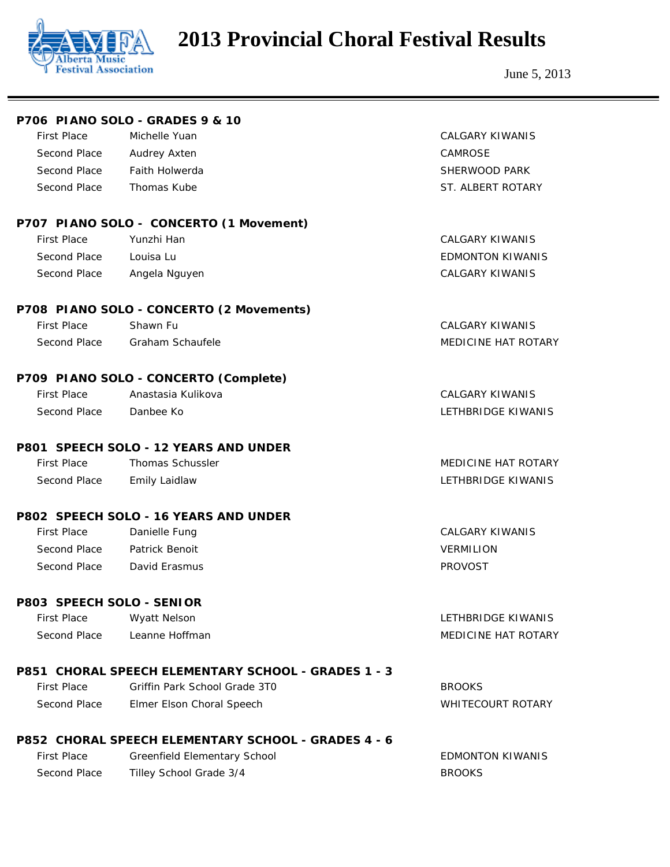

|                           | P706 PIANO SOLO - GRADES 9 & 10                            |                            |
|---------------------------|------------------------------------------------------------|----------------------------|
| <b>First Place</b>        | Michelle Yuan                                              | <b>CALGARY KIWANIS</b>     |
| Second Place              | Audrey Axten                                               | <b>CAMROSE</b>             |
| Second Place              | <b>Faith Holwerda</b>                                      | SHERWOOD PARK              |
| Second Place              | Thomas Kube                                                | ST. ALBERT ROTARY          |
|                           | P707 PIANO SOLO - CONCERTO (1 Movement)                    |                            |
| <b>First Place</b>        | Yunzhi Han                                                 | <b>CALGARY KIWANIS</b>     |
| Second Place              | Louisa Lu                                                  | <b>EDMONTON KIWANIS</b>    |
| Second Place              | Angela Nguyen                                              | <b>CALGARY KIWANIS</b>     |
|                           | P708 PIANO SOLO - CONCERTO (2 Movements)                   |                            |
| <b>First Place</b>        | Shawn Fu                                                   | <b>CALGARY KIWANIS</b>     |
| Second Place              | <b>Graham Schaufele</b>                                    | <b>MEDICINE HAT ROTARY</b> |
|                           | P709 PIANO SOLO - CONCERTO (Complete)                      |                            |
| <b>First Place</b>        | Anastasia Kulikova                                         | <b>CALGARY KIWANIS</b>     |
| Second Place              | Danbee Ko                                                  | LETHBRIDGE KIWANIS         |
|                           | P801 SPEECH SOLO - 12 YEARS AND UNDER                      |                            |
| <b>First Place</b>        | <b>Thomas Schussler</b>                                    | <b>MEDICINE HAT ROTARY</b> |
| Second Place              | <b>Emily Laidlaw</b>                                       | LETHBRIDGE KIWANIS         |
|                           | P802 SPEECH SOLO - 16 YEARS AND UNDER                      |                            |
| <b>First Place</b>        | Danielle Fung                                              | <b>CALGARY KIWANIS</b>     |
| Second Place              | Patrick Benoit                                             | <b>VERMILION</b>           |
| Second Place              | David Erasmus                                              | <b>PROVOST</b>             |
| P803 SPEECH SOLO - SENIOR |                                                            |                            |
| <b>First Place</b>        | Wyatt Nelson                                               | LETHBRIDGE KIWANIS         |
| Second Place              | Leanne Hoffman                                             | <b>MEDICINE HAT ROTARY</b> |
|                           | P851 CHORAL SPEECH ELEMENTARY SCHOOL - GRADES 1 - 3        |                            |
| <b>First Place</b>        | Griffin Park School Grade 3T0                              | <b>BROOKS</b>              |
| Second Place              | Elmer Elson Choral Speech                                  | <b>WHITECOURT ROTARY</b>   |
|                           | <b>P852 CHORAL SPEECH ELEMENTARY SCHOOL - GRADES 4 - 6</b> |                            |
| <b>First Place</b>        | Greenfield Elementary School                               | <b>EDMONTON KIWANIS</b>    |
| Second Place              | Tilley School Grade 3/4                                    | <b>BROOKS</b>              |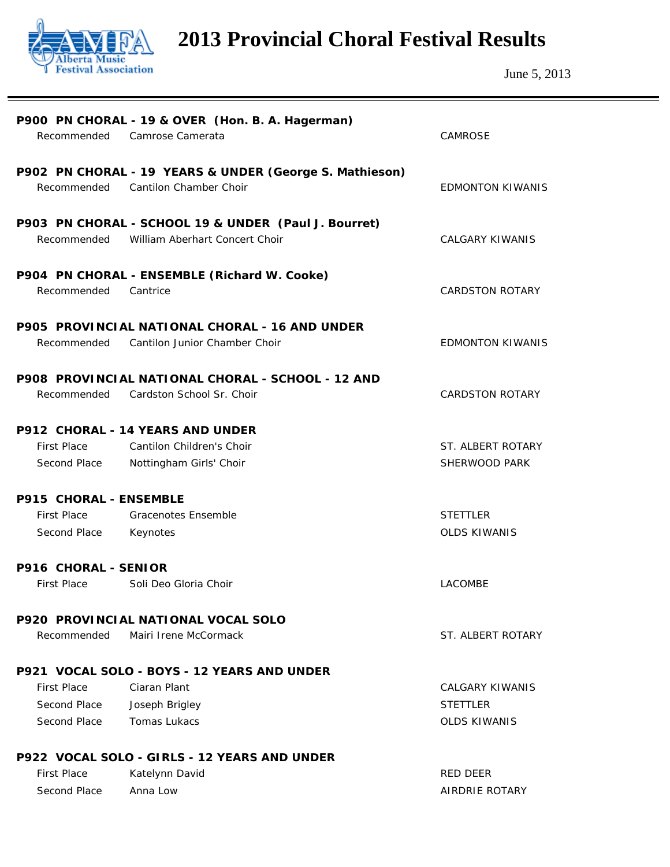

| Recommended                             | P900 PN CHORAL - 19 & OVER (Hon. B. A. Hagerman)<br>Camrose Camerata                   | <b>CAMROSE</b>                     |  |  |
|-----------------------------------------|----------------------------------------------------------------------------------------|------------------------------------|--|--|
| Recommended                             | P902 PN CHORAL - 19 YEARS & UNDER (George S. Mathieson)<br>Cantilon Chamber Choir      | <b>EDMONTON KIWANIS</b>            |  |  |
| Recommended                             | P903 PN CHORAL - SCHOOL 19 & UNDER (Paul J. Bourret)<br>William Aberhart Concert Choir | <b>CALGARY KIWANIS</b>             |  |  |
| Recommended                             | P904 PN CHORAL - ENSEMBLE (Richard W. Cooke)<br>Cantrice                               | <b>CARDSTON ROTARY</b>             |  |  |
| Recommended                             | P905 PROVINCIAL NATIONAL CHORAL - 16 AND UNDER<br>Cantilon Junior Chamber Choir        | <b>EDMONTON KIWANIS</b>            |  |  |
| Recommended                             | P908 PROVINCIAL NATIONAL CHORAL - SCHOOL - 12 AND<br>Cardston School Sr. Choir         | <b>CARDSTON ROTARY</b>             |  |  |
| <b>P912 CHORAL - 14 YEARS AND UNDER</b> |                                                                                        |                                    |  |  |
| <b>First Place</b><br>Second Place      | Cantilon Children's Choir<br>Nottingham Girls' Choir                                   | ST. ALBERT ROTARY<br>SHERWOOD PARK |  |  |
|                                         |                                                                                        |                                    |  |  |
| P915 CHORAL - ENSEMBLE                  |                                                                                        |                                    |  |  |
| <b>First Place</b>                      | <b>Gracenotes Ensemble</b>                                                             | <b>STETTLER</b>                    |  |  |
| Second Place                            | Keynotes                                                                               | <b>OLDS KIWANIS</b>                |  |  |
| P916 CHORAL - SENIOR                    |                                                                                        |                                    |  |  |
| <b>First Place</b>                      | Soli Deo Gloria Choir                                                                  | <b>LACOMBE</b>                     |  |  |
|                                         | <b>P920 PROVINCIAL NATIONAL VOCAL SOLO</b>                                             |                                    |  |  |
| Recommended                             | Mairi Irene McCormack                                                                  | ST. ALBERT ROTARY                  |  |  |
|                                         | P921 VOCAL SOLO - BOYS - 12 YEARS AND UNDER                                            |                                    |  |  |
| <b>First Place</b>                      | Ciaran Plant                                                                           | <b>CALGARY KIWANIS</b>             |  |  |
| Second Place                            | Joseph Brigley                                                                         | <b>STETTLER</b>                    |  |  |
| Second Place                            | Tomas Lukacs                                                                           | <b>OLDS KIWANIS</b>                |  |  |
|                                         | P922 VOCAL SOLO - GIRLS - 12 YEARS AND UNDER                                           |                                    |  |  |
| <b>First Place</b>                      | Katelynn David                                                                         | RED DEER                           |  |  |
| Second Place                            | Anna Low                                                                               | <b>AIRDRIE ROTARY</b>              |  |  |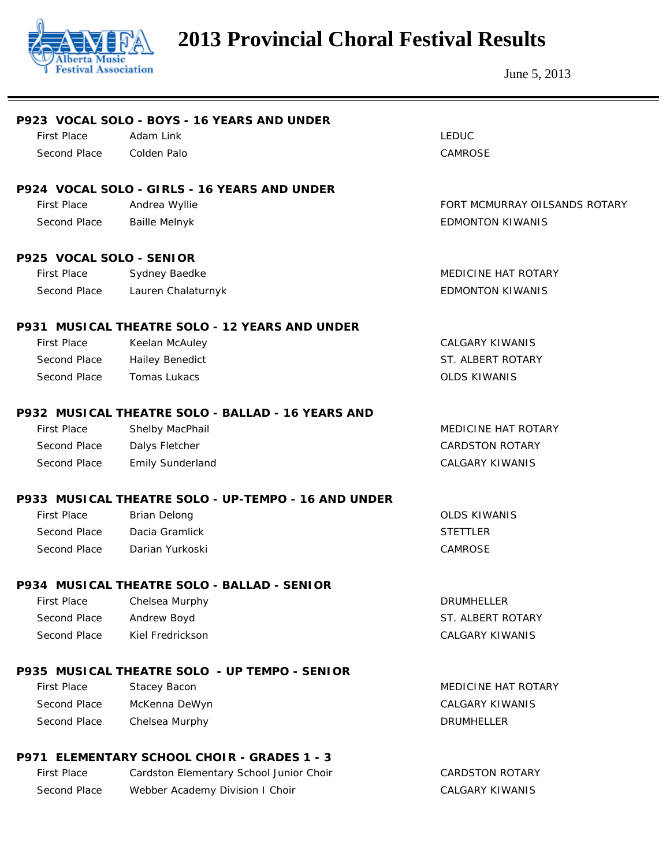

|                          | P923 VOCAL SOLO - BOYS - 16 YEARS AND UNDER         |                               |
|--------------------------|-----------------------------------------------------|-------------------------------|
| <b>First Place</b>       | Adam Link                                           | <b>LEDUC</b>                  |
| Second Place             | Colden Palo                                         | CAMROSE                       |
|                          | P924 VOCAL SOLO - GIRLS - 16 YEARS AND UNDER        |                               |
| <b>First Place</b>       | Andrea Wyllie                                       | FORT MCMURRAY OILSANDS ROTARY |
| Second Place             | <b>Baille Melnyk</b>                                | <b>EDMONTON KIWANIS</b>       |
| P925 VOCAL SOLO - SENIOR |                                                     |                               |
| <b>First Place</b>       | Sydney Baedke                                       | <b>MEDICINE HAT ROTARY</b>    |
| Second Place             | Lauren Chalaturnyk                                  | <b>EDMONTON KIWANIS</b>       |
|                          | P931 MUSICAL THEATRE SOLO - 12 YEARS AND UNDER      |                               |
| <b>First Place</b>       | Keelan McAuley                                      | <b>CALGARY KIWANIS</b>        |
| Second Place             | <b>Hailey Benedict</b>                              | ST. ALBERT ROTARY             |
| Second Place             | <b>Tomas Lukacs</b>                                 | <b>OLDS KIWANIS</b>           |
|                          | P932 MUSICAL THEATRE SOLO - BALLAD - 16 YEARS AND   |                               |
| <b>First Place</b>       | Shelby MacPhail                                     | MEDICINE HAT ROTARY           |
| Second Place             | Dalys Fletcher                                      | <b>CARDSTON ROTARY</b>        |
| Second Place             | <b>Emily Sunderland</b>                             | <b>CALGARY KIWANIS</b>        |
|                          | P933 MUSICAL THEATRE SOLO - UP-TEMPO - 16 AND UNDER |                               |
| <b>First Place</b>       | <b>Brian Delong</b>                                 | <b>OLDS KIWANIS</b>           |
| Second Place             | Dacia Gramlick                                      | <b>STETTLER</b>               |
| Second Place             | Darian Yurkoski                                     | CAMROSE                       |
|                          | P934 MUSICAL THEATRE SOLO - BALLAD - SENIOR         |                               |
| <b>First Place</b>       | Chelsea Murphy                                      | <b>DRUMHELLER</b>             |
| Second Place             | Andrew Boyd                                         | ST. ALBERT ROTARY             |
| Second Place             | Kiel Fredrickson                                    | <b>CALGARY KIWANIS</b>        |
|                          | P935 MUSICAL THEATRE SOLO - UP TEMPO - SENIOR       |                               |
| <b>First Place</b>       | Stacey Bacon                                        | MEDICINE HAT ROTARY           |
| Second Place             | McKenna DeWyn                                       | <b>CALGARY KIWANIS</b>        |
| Second Place             | Chelsea Murphy                                      | <b>DRUMHELLER</b>             |
|                          | P971 ELEMENTARY SCHOOL CHOIR - GRADES 1 - 3         |                               |
| <b>First Place</b>       | Cardston Elementary School Junior Choir             | <b>CARDSTON ROTARY</b>        |
| Second Place             | Webber Academy Division I Choir                     | <b>CALGARY KIWANIS</b>        |
|                          |                                                     |                               |